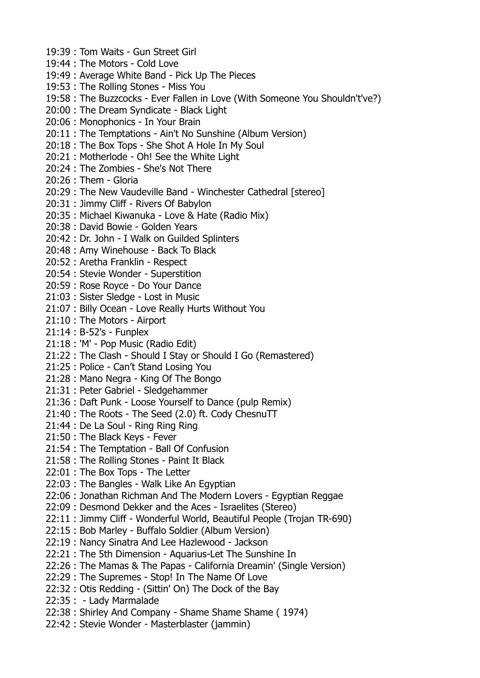19:39 : Tom Waits - Gun Street Girl 19:44 : The Motors - Cold Love 19:49 : Average White Band - Pick Up The Pieces 19:53 : The Rolling Stones - Miss You 19:58 : The Buzzcocks - Ever Fallen in Love (With Someone You Shouldn't've?) 20:00 : The Dream Syndicate - Black Light 20:06 : Monophonics - In Your Brain 20:11 : The Temptations - Ain't No Sunshine (Album Version) 20:18 : The Box Tops - She Shot A Hole In My Soul 20:21 : Motherlode - Oh! See the White Light 20:24 : The Zombies - She's Not There 20:26 : Them - Gloria 20:29 : The New Vaudeville Band - Winchester Cathedral [stereo] 20:31 : Jimmy Cliff - Rivers Of Babylon 20:35 : Michael Kiwanuka - Love & Hate (Radio Mix) 20:38 : David Bowie - Golden Years 20:42 : Dr. John - I Walk on Guilded Splinters 20:48 : Amy Winehouse - Back To Black 20:52 : Aretha Franklin - Respect 20:54 : Stevie Wonder - Superstition 20:59 : Rose Royce - Do Your Dance 21:03 : Sister Sledge - Lost in Music 21:07 : Billy Ocean - Love Really Hurts Without You 21:10 : The Motors - Airport 21:14 : B-52's - Funplex 21:18 : 'M' - Pop Music (Radio Edit) 21:22 : The Clash - Should I Stay or Should I Go (Remastered) 21:25 : Police - Can't Stand Losing You 21:28 : Mano Negra - King Of The Bongo 21:31 : Peter Gabriel - Sledgehammer 21:36 : Daft Punk - Loose Yourself to Dance (pulp Remix) 21:40 : The Roots - The Seed (2.0) ft. Cody ChesnuTT 21:44 : De La Soul - Ring Ring Ring 21:50 : The Black Keys - Fever 21:54 : The Temptation - Ball Of Confusion 21:58 : The Rolling Stones - Paint It Black 22:01 : The Box Tops - The Letter 22:03 : The Bangles - Walk Like An Egyptian 22:06 : Jonathan Richman And The Modern Lovers - Egyptian Reggae 22:09 : Desmond Dekker and the Aces - Israelites (Stereo) 22:11 : Jimmy Cliff - Wonderful World, Beautiful People (Trojan TR-690) 22:15 : Bob Marley - Buffalo Soldier (Album Version) 22:19 : Nancy Sinatra And Lee Hazlewood - Jackson 22:21 : The 5th Dimension - Aquarius-Let The Sunshine In 22:26 : The Mamas & The Papas - California Dreamin' (Single Version) 22:29 : The Supremes - Stop! In The Name Of Love 22:32 : Otis Redding - (Sittin' On) The Dock of the Bay 22:35 : - Lady Marmalade 22:38 : Shirley And Company - Shame Shame Shame ( 1974) 22:42 : Stevie Wonder - Masterblaster (jammin)